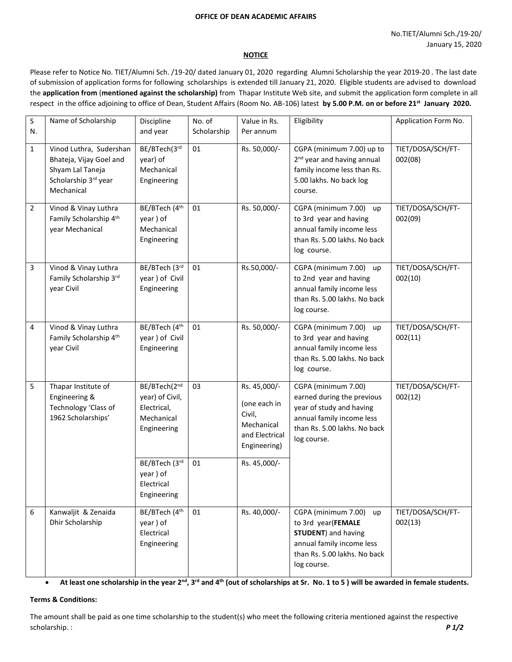#### **OFFICE OF DEAN ACADEMIC AFFAIRS**

#### **NOTICE**

Please refer to Notice No. TIET/Alumni Sch. /19-20/ dated January 01, 2020 regarding Alumni Scholarship the year 2019-20 . The last date of submission of application forms for following scholarships is extended till January 21, 2020. Eligible students are advised to download the **application from** (**mentioned against the scholarship)** from Thapar Institute Web site, and submit the application form complete in all respect in the office adjoining to office of Dean, Student Affairs (Room No. AB-106) latest **by 5.00 P.M. on or before 21st January 2020.**

| S              | Name of Scholarship                                                                                          | Discipline                                                                                   | No. of      | Value in Rs.                                                                                           | Eligibility                                                                                                                                                | Application Form No.         |
|----------------|--------------------------------------------------------------------------------------------------------------|----------------------------------------------------------------------------------------------|-------------|--------------------------------------------------------------------------------------------------------|------------------------------------------------------------------------------------------------------------------------------------------------------------|------------------------------|
| N.             |                                                                                                              | and year                                                                                     | Scholarship | Per annum                                                                                              |                                                                                                                                                            |                              |
| $\mathbf{1}$   | Vinod Luthra, Sudershan<br>Bhateja, Vijay Goel and<br>Shyam Lal Taneja<br>Scholarship 3rd year<br>Mechanical | BE/BTech(3rd<br>year) of<br>Mechanical<br>Engineering                                        | 01          | Rs. 50,000/-                                                                                           | CGPA (minimum 7.00) up to<br>2 <sup>nd</sup> year and having annual<br>family income less than Rs.<br>5.00 lakhs. No back log<br>course.                   | TIET/DOSA/SCH/FT-<br>002(08) |
| $\overline{2}$ | Vinod & Vinay Luthra<br>Family Scholarship 4th<br>year Mechanical                                            | BE/BTech (4th<br>year) of<br>Mechanical<br>Engineering                                       | 01          | Rs. 50,000/-                                                                                           | CGPA (minimum 7.00) up<br>to 3rd year and having<br>annual family income less<br>than Rs. 5.00 lakhs. No back<br>log course.                               | TIET/DOSA/SCH/FT-<br>002(09) |
| 3              | Vinod & Vinay Luthra<br>Family Scholarship 3rd<br>year Civil                                                 | BE/BTech (3rd<br>year ) of Civil<br>Engineering                                              | 01          | Rs.50,000/-                                                                                            | CGPA (minimum 7.00) up<br>to 2nd year and having<br>annual family income less<br>than Rs. 5.00 lakhs. No back<br>log course.                               | TIET/DOSA/SCH/FT-<br>002(10) |
| 4              | Vinod & Vinay Luthra<br>Family Scholarship 4th<br>year Civil                                                 | BE/BTech (4th<br>year ) of Civil<br>Engineering                                              | 01          | Rs. 50,000/-                                                                                           | CGPA (minimum 7.00)<br>up<br>to 3rd year and having<br>annual family income less<br>than Rs. 5.00 lakhs. No back<br>log course.                            | TIET/DOSA/SCH/FT-<br>002(11) |
| 5              | Thapar Institute of<br>Engineering &<br>Technology 'Class of<br>1962 Scholarships'                           | BE/BTech(2nd<br>year) of Civil,<br>Electrical,<br>Mechanical<br>Engineering<br>BE/BTech (3rd | 03<br>01    | Rs. 45,000/-<br>(one each in<br>Civil,<br>Mechanical<br>and Electrical<br>Engineering)<br>Rs. 45,000/- | CGPA (minimum 7.00)<br>earned during the previous<br>year of study and having<br>annual family income less<br>than Rs. 5.00 lakhs. No back<br>log course.  | TIET/DOSA/SCH/FT-<br>002(12) |
|                |                                                                                                              | year) of<br>Electrical<br>Engineering                                                        |             |                                                                                                        |                                                                                                                                                            |                              |
| 6              | Kanwaljit & Zenaida<br>Dhir Scholarship                                                                      | BE/BTech (4th<br>year) of<br>Electrical<br>Engineering                                       | 01          | Rs. 40,000/-                                                                                           | CGPA (minimum 7.00)<br>up<br>to 3rd year(FEMALE<br><b>STUDENT</b> ) and having<br>annual family income less<br>than Rs. 5.00 lakhs. No back<br>log course. | TIET/DOSA/SCH/FT-<br>002(13) |

**At least one scholarship in the year 2nd, 3rd and 4th (out of scholarships at Sr. No. 1 to 5 ) will be awarded in female students.**

#### **Terms & Conditions:**

The amount shall be paid as one time scholarship to the student(s) who meet the following criteria mentioned against the respective scholarship. : *P 1/2*